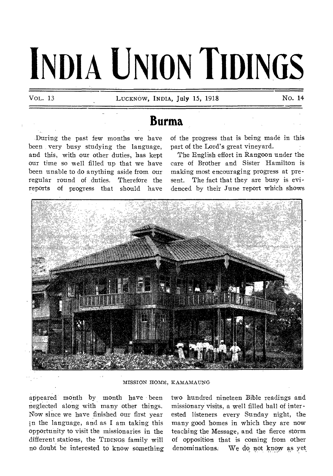# **INDIA UNION TIDINGS**

VoL. 13 LUCKNOW, INDIA, July 15, 1918 No. 14

## **Burma**

During the past few months we have been very busy studying the language, and this, with our other duties, has kept our time so well filled up that we have been unable to do anything aside from our regular round of duties. Therefore the reports of progress that should have of the progress that is being made in this part of the Lord's great vineyard.

The English effort in Rangoon under the care of Brother and Sister Hamilton is making most encouraging progress at present. The fact that they are busy is evidenced by their June report which shows



MISSION HOME, KAMAMAUNG

appeared month by month have been neglected along with many other things. Now since we have finished our first year in the language, and as I am taking this opportunity to visit the missionaries in the different stations, the TIDINGS family will no doubt be interested to know something

two hundred nineteen Bible readings and missionary visits, a well filled hall of interested listeners every Sunday night, the many good homes in which they are now teaching the Message, and the fierce storm of opposition that is coming from other denominations. We do not know as yet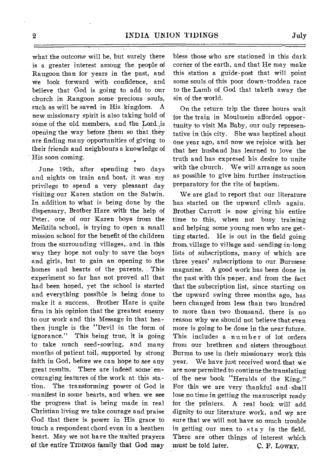what the outcome will be, but surely there is a greater interest among the people of Rangoon than for years in the past, and we look forward with confidence, and believe that God is going, to add, to our church in Rangoon some precious souls, such as will be saved in His kingdom. A new missionary spirit is also taking hold of some of the old members, and the Lord is opening the way before them so that they are finding many opportunities of giving to their friends and neighbours a knowledge of His soon coming.

June 19th, after spending two days and nights on train and boat, it was my privilege to spend a very pleasant day visiting our Karen station on the Salwin. In addition to what is being done by the dispensary, Brother Hare with the help of Peter, one of our Karen boys from the Meiktila school, is trying to open a small mission school for the benefit of the children from the surrounding villages, and in this way they hope not only to save the. boys and girls, but to gain an opening to the homes and hearts of the parents... This experiment so far has not proved all that had been hoped, yet the school is started and everything, possible is being done to make it a success. Brother Hare is quite firm in his opinion that the greatest enemy to our work and this Message in that heathen jungle is the "Devil in the form of ignorance." This being true, it is going to take much seed-sowing, and many months of patient toil, supported by strong faith in God, before we can hope to see any great results. There are indeed some encouraging features of the work at this sta tion. The 'transforming power of God is manifest in some hearts, and when, we see the progress that is being made in real Christian living we take courage and praise God that there is power in His grace to touch a respondent chord, even in a heathen heart. May we not have the united prayers Of the entire TIDINGS family that God may

bless those who are stationed in this dark corner of the earth, and that He may make this station a guide-post that will point some souls of this poor down-trodden race to the Lamb of God that taketh away the sin of the world.

On the return trip the three hours wait "for the train in Moulmein afforded opportunity to visit Ma Baby, our only representative in this city. She was baptized about one year ago, and, now we rejoice with her that her husband has learned to love the truth and has expresed his desire to unite with the church. We will arrange as soon as possible to give him further instruction preparatory for the rite of baptism.

We are glad to report that our literature has started on the upward climb again. Brother Garrott is now giving his entire time to this, when not busy training and helping some young men who are getting started. He is out in the field going from village to village and- sending in,long lists of subscriptions, many of which are three years' subscriptions to our Burmese magazine. A good work has been done in the past with this paper, and from the fact that the subscription list, since starting on the upward swing three months ago, has been changed from less than two hundred to more than two thousand, there is no reason why we should not believe that even more is going to be done in the near future. This includes a number of lot orders from our brethren and sisters throughout Burma to use in their missionary work this year. We have just received word that we are now permitted to continue the translating of the new book "Heralds of the King." For this we are very thankful and shall lose no time in getting the manuscript ready for the printers. A real book will add dignity to our literature work, and we are sure that we will not have so much trouble in getting our men to stay in the field. There are other things of interest which must be told later. C. F. LOWRY.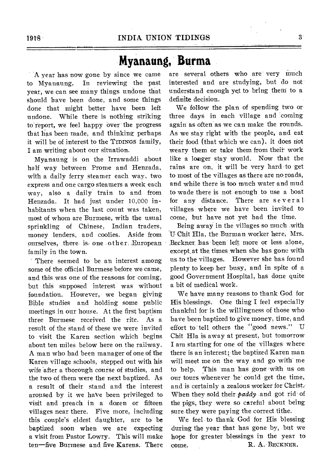## **Myanaung, Burma**

A year has now gone by since we came to Myanaung. In reviewing the past year, we can see many things undone that should have been done, and some things done that might better have been left undone. While there is nothing striking to'report, we feel happy over the progress that has been made, and thinking perhaps it will be of interest to the TIDINGS family, I am writing about our situation.

Myanaung is on the Irrawaddi about half way between Prome and Henzada, with a daily ferry steamer each way, two express and one cargo steamers a week each way, also a daily train to and from Henzada. It had just under 10,000 inhabitants when the last count was taken, most of whom are Burmese, with the usual sprinkling of Chinese, Indian traders, money lenders, and coolies. Aside from ourselves, there is one other. European family in the town.

There seemed to be an interest among some of the official Burmese before we came, and this was one of the reasons for coming, but this supposed interest was without foundation. However, we began giving Bible studies and holding some public meetings in our house. At the first baptism three Burmese received the rite. As a result of the stand of these we were invited to visit the Karen section which begins about ten miles below here on the railway. A man who had been manager of one of the Karen village schools, stepped out with his wife after a thorough course of studies, and the two of them were the next baptized. As a result of their stand and the interest aroused by it we have been privileged to visit and preach in a dozen or fifteen villages near there. Five more, including this couple's eldest daughter, are to be baptized soon when we are expecting a visit from Pastor Lowry. This will make ten—five Burmese and five Karens. There are several others who are very much interested and are studying, but do not understand enough yet to bring them to a definite decision.

We follow the plan of spending two or three days in each village and coming again as often as we can make the rounds. As we stay right with the people, and eat their food (that which we can), it does riot weary them or take them from their' work like a longer stay would. Now that the rains are on, it will be very hard to get to most of the villages as there are no roads, and while there is too much water and mud to wade there is not enough to use a boat for any distance. There are several villages where we have been invited to come, but have not yet had the time.

Being away in the villages so much with U Chit Hla, the Burman worker here, Mrs. .Beckner 'has been left, more or less alone, except. at the times when she has gone with us to the villages. However she has found plenty to keep her busy, and in spite of a good Government Hospital, has done quite a bit of medical work.

We have many reasons to thank God for His blessings. One thing I feel especially thankful for is the willingness of those who have been baptized to give money, time, and effort to tell others the "good news." U Chit Hla is away at present, but tomorrow I am starting for one of the villages where there is an interest; the baptized Karen man will meet me on the way and go with me to help. This man has gone with us on our tours whenever he-could get the time, and is certainly a zealous worker for Christ.- When they sold their *paddy* and got rid of the pigs, they were so careful about being sure they were paying the correct tithe.

We feel to thank God for His blessing during the year that has gone by, but we hope for greater blessings in the year to come. R. A. BECKNER.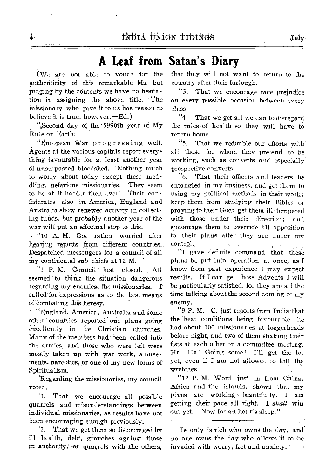## **A Leaf from, Satan's Diary**

(We are- not able to vouch for the authenticity of this remarkable Ms. butjudging by the contents we have no hesitation in assigning the above title. The missionary who gave it to us has reason to believe it is true, however.—Ed.)

Å.

 $\Gamma$ . Second day of the 5990th year of My Rule on Earth;

"European War progressing well. Agents at the various capitals report everything favourable for at least another year Of unsurpassed bloodshed. Nothing much to worry about today except these meddling, nefarious missionaries. They seem to be at it harder then ever. Their confederates also in. America, England and Australia show renewed activity in collecting funds, but probably another year of the war will put an effectual stop to this.

• "10 A. M. Got rather worried after hearing reports from different countries. Despatched messengers for a council of all my continental sub-chiefs at 12 M.

' "1 P. M: Council just closed. All seemed to think the situation dangerous regarding my enemies; the missionaries.  $\Gamma$ called for expressions as to the best means of combating this heresy.

 $\sim$  "England, America, Australia and some other countries reported our plans going excellently in the Christian churches. Many of the members had been called into the armies, and those who were left were mostly taken up with war work, amusements, narcotics, or one of my new forms of Spiritualism.

"Regarding the missionaries, my council voted,<br> $\frac{u_1}{1}$ 

That we encourage all possible quarrels and misunderstandings between individual missionaries, as results have not been encouraging enough previously.

"2. That we get them so discouraged by ill health, debt, grouches against those in authority; or quarrels with the others,

that they will not want to return to the country after their furlough.

"3. That we encourage race prejudice on every possible occasion between every class.

"4. That we get all we can to disregard the rules of health so they will have to return home.

"5. That we redouble our efforts with all those for whom they pretend to be working, such as converts and especially prospective converts.

"6. That their officers and leaders be entangled in my business, and get them to using my political methods in their work; keep them from studying their Bibles or praying to their God; get them ill-tempered with those under their direction; and encourage them to override all opposition to their plans after they are under my control.  $\mathcal{L}_{\mathrm{eff}}$  $\mathbf{r}$  $\mathcal{L}_{\mathrm{c}}$  ,  $\mathcal{L}_{\mathrm{c}}$  ,  $\mathcal{L}_{\mathrm{c}}$ 

"I gave definite command that these plans be put into operation at once, as I know from past experience I may expect results. If I can get those Advents I will be particularly satisfied, for they are all the time talking about the second coming of my enemy.

"9 P. M. C. just reports from India that the 'heat conditions being favourable, he had-about 100 missionaries at loggerheads before night, and two of them shaking their fists at each other on a committee meeting. Ha! Ha! Going some! I'll get the lot yet, even if I am not allowed to kill. the wretches.

"12 P. M. Word just in from China, Africa and the islands, shows that my plans are working - beautifully. I am getting their pace all right. I *shall* win out yet. Now for an hour's sleep."

He only is rich who owns the day; and no one owns the day who allows 'it to be invaded with worry, fret and anxiety.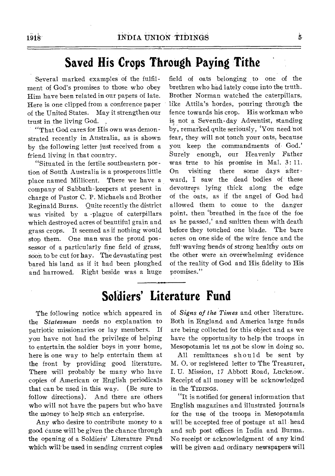## **Saved His Crops Through Paying Tithe**

Several marked examples of the fulfilment of God's promises to those who obey Him have been related in our papers of late. Here is one clipped from a conference paper of the United States. May it strengthen our trust in the living God.

"That God cares for His own was demonstrated recently in Australia, as is shown by the following letter just received from a friend living in that country.

"Situated in the fertile southeastern portion of South Australia is a prosperous little place named Millicent. There we have a company of Sabbath-keepers at present in charge of Pastor C. P. Michaels and Brother Reginald Burns. Quite recently the district was visited by a •plague of caterpillars which destroyed acres of beautiful grain and grass crops. It seemed as if nothing would stop them. One man was the proud possessor of a particularly fine field of grass, soon to be cut for hay. The devastating pest bared his land as if it had been ploughed and harrowed. Right beside was *a* huge

field of oats belonging to one of the brethren who had lately come into the truth. Brother Norman watched the caterpillars, like Attila's hordes, pouring through the fence towards his crop. His workman who is not a Seventh-day Adventist, standing by, remarked quite seriously, 'You need not fear, they will not touch your oats, because you keep the commandments of God.' Surely enough, our Heavenly Father was true to his promise in Mal. 3: 11. On visiting there some days afterward, I saw the dead bodies of these devourers lying thick along the edge of the oats, as if the angel of God bad allowed them to come to the danger point, then 'breathed in the face of the foe as he passed,' and smitten them with death before they touched one blade. The bare acres on one side of the wire fence and the full waving heads of strong healthy oats on the other were an overwhelming evidence of the reality of God and His fidelity to His promises."

## **Soldiers' Literature Fund**

The following notice which appeared in the *Statesman* needs no explanation to patriotic missionaries or lay members. If you have not had the privilege of helping to entertain, the soldier boys in your home, here is one way to help entertain them at the front by providing good literature. There will probably be many who have copies of American or English periodicals that can be used in this way. (Be sure to follow directions). And there are others And there are others who will not have the papers but who have the money to help such an enterprise.

Any who desire to contribute money to a good cause will be given the chance through the opening of a Soldiers' Literature Fund which will be used in sending current copies

of *Signs of the Times* and other literature. Both in England and America large funds are being collected for this object and as we have the opportunity to help the troops in Mesopotamia let us not be slow in doing so.

All remittances should be sent by M. O. or registered letter to The Treasurer, I. U. Mission, 17 Abbott Road, Lucknow. Receipt of all money will be acknowledged in the TIDINGS.

"It is notified for general information that English magazines and illustrated journals for the use of the troops in Mesopotamia will be accepted free of postage at all head and sub post offices in India and Burma. No receipt or acknowledgment of any kind will be given and ordinary newspapers will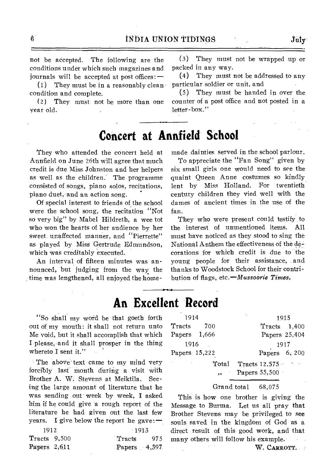not be accepted. The following are the conditions under which such magazines and journals will be accepted at post offices: —

(1) They must be in a reasonably clean condition and complete.

(2) They must not be more than one year old.

(3) They must not be wrapped up or packed in any way.

(4) They must not be addressed to any particular soldier or unit, and

(5) They must be handed in over the counter of a post office and not posted in a letter-box."

## **Concert at Annfield School**

They who attended the concert held at Annfield on June 26th will agree that much credit is due Miss Johnston and her helpers as well as the children. The programme consisted of songs, piano solos, recitations, piano duet, and an action song.

Of special interest to friends of the school were the school song, the recitation "Not so very big" by Mabel Hildreth, a wee tot who won the hearts of her audience by her sweet unaffected manner, and "Pierrette" as played by Miss Gertrude Edmundson, which was creditably executed.

An interval of fifteen minutes was announced, but judging from the way the time was lengthened, all enjoyed the homemade dainties served in the school parlour.

To appreciate the "Fan Song" given by six small girls one would need to see the quaint Queen Anne costumes so kindly lent by Miss Holland. For twentieth century children they vied well with the dames of ancient times in the use of the fan.

They who were present could testify to the interest of unmentioned items. All must have noticed as they stood to sing the National Anthem the effectiveness of the decorations for which credit is due to the young people for their assistance, and thanks to Woodstock School for their contribution of flags, *etc.—Mussoorie Times.* 

### **An Excellent Record**

"So shall my word be that goeth forth out of my mouth: it shall not return unto Me void, but it shall accomplish that which I please, and it shall prosper in the thing whereto I sent it."

The above text came to my mind very forcibly last month during a visit with Brother A. W. Stevens at Meiktila. Seeing the large amount of literature that he was sending out week by week, I asked him if he could give a rough report of the literature he had given out the last few years. I give below the report he gave: $-$ 

| 1912                     |  | $-1913$        |
|--------------------------|--|----------------|
| T <sub>roots</sub> 9,500 |  | Tracts 975     |
| Papers $2,611$           |  | Papers $4,397$ |

| 1914          |       | 1915                     |  |  |  |
|---------------|-------|--------------------------|--|--|--|
| Tracts        | - 700 | Tracts 1,400             |  |  |  |
| Papers 1,666  |       | Papers 25,404            |  |  |  |
| 1916          |       | 1917                     |  |  |  |
| Papers 15,222 |       | Papers $6, 200$          |  |  |  |
|               |       | Total Tracts 12,575      |  |  |  |
|               |       | $, \qquad$ Papers 55,500 |  |  |  |
|               |       |                          |  |  |  |

#### Grand total 68,075

This is how one brother is giving the Message to Burma. Let us all pray that Brother Stevens may be privileged to see souls saved in the kingdom of God as a direct result of this good work, and that many others will follow his example. W. CARROTT.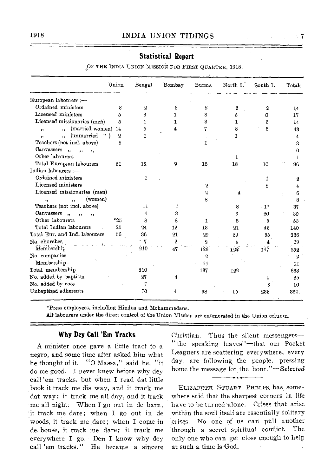|                                                                                         | Union          | Bengal | Bombay      | Burma       | North I. | South I. | Totals |
|-----------------------------------------------------------------------------------------|----------------|--------|-------------|-------------|----------|----------|--------|
| European labourers :-                                                                   |                |        |             |             |          |          |        |
| Ordained ministers                                                                      | ន              | 2      | 3           | 2           | 2        | 2        | 14     |
| Licensed ministers                                                                      | 5              | 3      |             | 3           | 5        | Ω        | 17     |
| Licensed missionaries (men)                                                             | 5              |        | T.          | З           | 1        | 3        | 14     |
| (married women)<br>$\overline{\mathbf{r}}$<br>$, \,$                                    | 14             | 5      | 4           | 7           | 8        | 5        | 43     |
| (unmarried<br>$"$ )<br>$\ddot{\phantom{1}}$<br>$\bullet$                                | $\overline{2}$ |        |             |             |          |          | 4      |
| Teachers (not incl. above)                                                              | 2              |        |             |             |          |          | 3      |
| Canvassers<br>$\cdot$<br>$\ddot{\phantom{a}}$<br>$, \, \cdot$                           |                |        |             |             |          |          | 0      |
| Other labourers                                                                         |                |        |             |             |          |          | 1      |
| Total European labourers                                                                | 31             | $-12$  | g           | 16          | 18       | 10       | 96     |
| Indian labourers :-                                                                     |                |        |             |             |          |          |        |
| Ordained ministers                                                                      |                | 1      |             |             |          | 1        | 2      |
| Licensed ministers                                                                      |                |        |             | 2           |          | 2        | 4      |
| Licensed missionaries (men)                                                             |                |        |             | $\mathbf 2$ | 4        |          | 6      |
| (women)<br>٠,<br>$\ddot{\phantom{1}}$                                                   |                |        |             | 8           |          |          | 8      |
| Teachers (not incl. above)                                                              |                | 11     |             |             | 8        | $-17$    | 37     |
| Canvassers<br>$\ddot{\mathbf{r}}$<br>$\overline{\mathbf{1}}$<br>$\overline{\mathbf{1}}$ |                | 4      | 3           |             | 3        | 20       | 30     |
| Other labourers                                                                         | $*25$          | 8      | 8           |             | 6        | 5        | 53     |
| Total Indian labourers                                                                  | 25             | 24     | 12          | 13          | 21       | 45       | 140    |
| Total Eur. and Ind. labourers                                                           | 56             | 36     | 21          | 29          | 39       | 55       | 236    |
| No. churches                                                                            |                |        | $\mathbf 3$ | 2           | 4        |          | 19     |
| Membership                                                                              |                | 210    | 47          | 126         | 122      | 147      | 652    |

#### **Statistical Report**

OF THE INDIA UNION MISSION FOR FIRST QUARTER, 1918.

\*Press employees, including Hindus and Mohaminedans.

Membership 11<br>btal membership 11 and 137

Alblabourers under the direct control of the Union Mission are enumerated in the Union column.

No. companies 2 2

Potal membership 210 137 122 663<br>No. added by baptism 27 4 4 35 No. added by baptism 27 4 35<br>No. added by vote 25 10 No. added by vote 7 3 10 Unbaptized adherents 70 4 38 15 233 360

#### **Why Dey Call 'Em Tracks**

A minister once gave a little tract to a negro, and some time after asked him what he thought of it. "0 Massa," said he, "it do me good. I never knew before why dey call 'em tracks, but when I read dat little book it track me dis way, and it track me dat way; it track me all day, and it track me all night. When I go out in de barn, it track me dare; when I go out in de woods, it track me dare; when I come in de house, it track me dare; it track me everywhere I go. Den I know why dey call 'em tracks." He became a sincere Christian. Thus the silent messengers-"the speaking leaves"—That our Pocket Leaguers are scattering everywhere, every day, are following, the people, pressing home the message for the *hour."—Selected* 

4

11

ELIZABETH STUART PHELPS. has somewhere said that the sharpest corners in life have to be turned'alone. Crises that arise within the soul itself are essentially solitary crises. No one of us can pull another 'through a secret spiritual conflict. The only one who can get close enough to help at such a time is God.